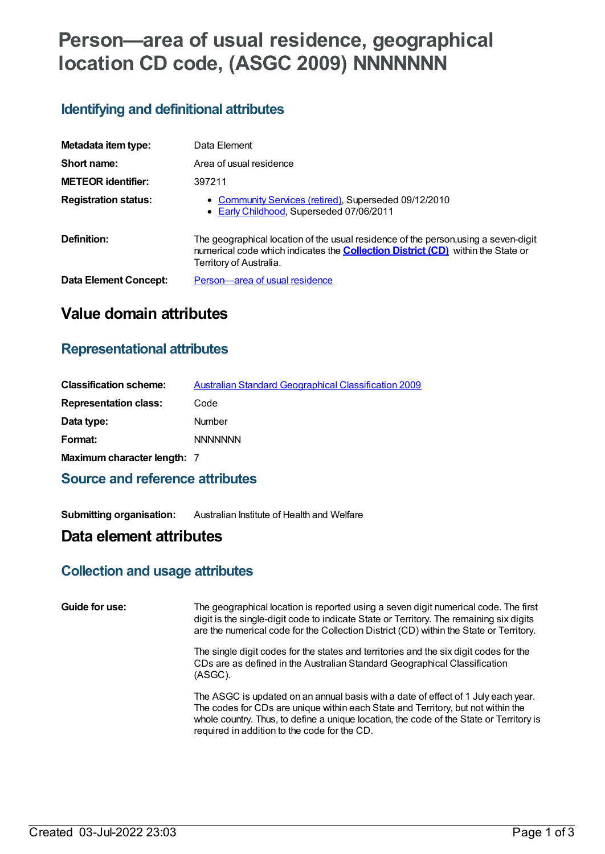# **Person—area of usual residence, geographical location CD code, (ASGC 2009) NNNNNNN**

## **Identifying and definitional attributes**

| Metadata item type:         | Data Element                                                                                                                                                                                             |
|-----------------------------|----------------------------------------------------------------------------------------------------------------------------------------------------------------------------------------------------------|
| Short name:                 | Area of usual residence                                                                                                                                                                                  |
| <b>METEOR identifier:</b>   | 397211                                                                                                                                                                                                   |
| <b>Registration status:</b> | • Community Services (retired), Superseded 09/12/2010<br>• Early Childhood, Superseded 07/06/2011                                                                                                        |
| Definition:                 | The geographical location of the usual residence of the person, using a seven-digit<br>numerical code which indicates the <b>Collection District (CD)</b> within the State or<br>Territory of Australia. |
| Data Element Concept:       | Person-area of usual residence                                                                                                                                                                           |

# **Value domain attributes**

### **Representational attributes**

| <b>Classification scheme:</b> | <b>Australian Standard Geographical Classification 2009</b> |
|-------------------------------|-------------------------------------------------------------|
| <b>Representation class:</b>  | Code                                                        |
| Data type:                    | Number                                                      |
| Format:                       | <b>NNNNNNN</b>                                              |
| Maximum character length: 7   |                                                             |

## **Source and reference attributes**

**Submitting organisation:** Australian Institute of Health and Welfare

## **Data element attributes**

#### **Collection and usage attributes**

| Guide for use: | The geographical location is reported using a seven digit numerical code. The first<br>digit is the single-digit code to indicate State or Territory. The remaining six digits<br>are the numerical code for the Collection District (CD) within the State or Territory.                                         |
|----------------|------------------------------------------------------------------------------------------------------------------------------------------------------------------------------------------------------------------------------------------------------------------------------------------------------------------|
|                | The single digit codes for the states and territories and the six digit codes for the<br>CDs are as defined in the Australian Standard Geographical Classification<br>(ASGC).                                                                                                                                    |
|                | The ASGC is updated on an annual basis with a date of effect of 1 July each year.<br>The codes for CDs are unique within each State and Territory, but not within the<br>whole country. Thus, to define a unique location, the code of the State or Territory is<br>required in addition to the code for the CD. |